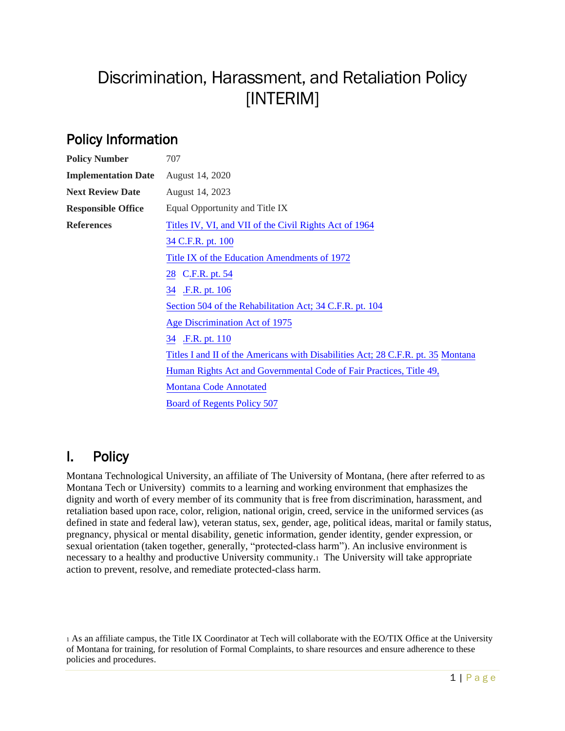# Discrimination, Harassment, and Retaliation Policy [INTERIM]

# Policy Information

| <b>Policy Number</b>       | 707                                                                              |
|----------------------------|----------------------------------------------------------------------------------|
| <b>Implementation Date</b> | August 14, 2020                                                                  |
| <b>Next Review Date</b>    | August 14, 2023                                                                  |
| <b>Responsible Office</b>  | Equal Opportunity and Title IX                                                   |
| <b>References</b>          | Titles IV, VI, and VII of the Civil Rights Act of 1964                           |
|                            | 34 C.F.R. pt. 100                                                                |
|                            | Title IX of the Education Amendments of 1972                                     |
|                            | 28 C.F.R. pt. 54                                                                 |
|                            | .F.R. pt. 106<br>34                                                              |
|                            | Section 504 of the Rehabilitation Act; 34 C.F.R. pt. 104                         |
|                            | Age Discrimination Act of 1975                                                   |
|                            | .F.R. pt. 110<br>34                                                              |
|                            | Titles I and II of the Americans with Disabilities Act; 28 C.F.R. pt. 35 Montana |
|                            | Human Rights Act and Governmental Code of Fair Practices, Title 49,              |
|                            | <b>Montana Code Annotated</b>                                                    |
|                            | <b>Board of Regents Policy 507</b>                                               |

# I. Policy

Montana Technological University, an affiliate of The University of Montana, (here after referred to as Montana Tech or University) commits to a learning and working environment that emphasizes the dignity and worth of every member of its community that is free from discrimination, harassment, and retaliation based upon race, color, religion, national origin, creed, service in the uniformed services (as defined in state and federal law), veteran status, sex, gender, age, political ideas, marital or family status, pregnancy, physical or mental disability, genetic information, gender identity, gender expression, or sexual orientation (taken together, generally, "protected-class harm"). An inclusive environment is necessary to a healthy and productive University community.1 The University will take appropriate action to prevent, resolve, and remediate protected-class harm.

<sup>1</sup> As an affiliate campus, the Title IX Coordinator at Tech will collaborate with the EO/TIX Office at the University of Montana for training, for resolution of Formal Complaints, to share resources and ensure adherence to these policies and procedures.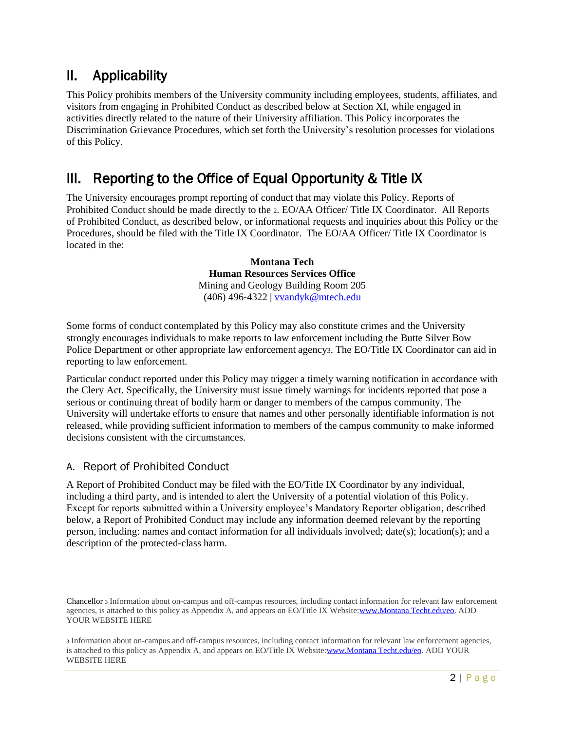# II. Applicability

This Policy prohibits members of the University community including employees, students, affiliates, and visitors from engaging in Prohibited Conduct as described below at Section XI, while engaged in activities directly related to the nature of their University affiliation. This Policy incorporates the Discrimination Grievance Procedures, which set forth the University's resolution processes for violations of this Policy.

## III. Reporting to the Office of Equal Opportunity & Title IX

The University encourages prompt reporting of conduct that may violate this Policy. Reports of Prohibited Conduct should be made directly to the 2. EO/AA Officer/ Title IX Coordinator. All Reports of Prohibited Conduct, as described below, or informational requests and inquiries about this Policy or the Procedures, should be filed with the Title IX Coordinator. The EO/AA Officer/ Title IX Coordinator is located in the:

> **Montana Tech Human Resources Services Office**  Mining and Geology Building Room 205 (406) 496-4322 **|** [vvandyk@mtech.edu](mailto:vvandyk@mtech.edu)

Some forms of conduct contemplated by this Policy may also constitute crimes and the University strongly encourages individuals to make reports to law enforcement including the Butte Silver Bow Police Department or other appropriate law enforcement agency3. The EO/Title IX Coordinator can aid in reporting to law enforcement.

Particular conduct reported under this Policy may trigger a timely warning notification in accordance with the Clery Act. Specifically, the University must issue timely warnings for incidents reported that pose a serious or continuing threat of bodily harm or danger to members of the campus community. The University will undertake efforts to ensure that names and other personally identifiable information is not released, while providing sufficient information to members of the campus community to make informed decisions consistent with the circumstances.

#### A. Report of Prohibited Conduct

A Report of Prohibited Conduct may be filed with the EO/Title IX Coordinator by any individual, including a third party, and is intended to alert the University of a potential violation of this Policy. Except for reports submitted within a University employee's Mandatory Reporter obligation, described below, a Report of Prohibited Conduct may include any information deemed relevant by the reporting person, including: names and contact information for all individuals involved; date(s); location(s); and a description of the protected-class harm.

Chancellor <sup>3</sup> Information about on-campus and off-campus resources, including contact information for relevant law enforcement agencies, is attached to this policy as Appendix A, and appears on EO/Title IX Website[:www.Montana Techt.edu/eo.](http://www.umt.edu/eo) ADD YOUR WEBSITE HERE

<sup>3</sup> Information about on-campus and off-campus resources, including contact i[nformation for relevant law en](http://www.umt.edu/eo)forcement agencies, is attached to this policy as Appendix A, and appears on EO/Title IX Website:www.Montana Techt.edu/eo. ADD YOUR WEBSITE HERE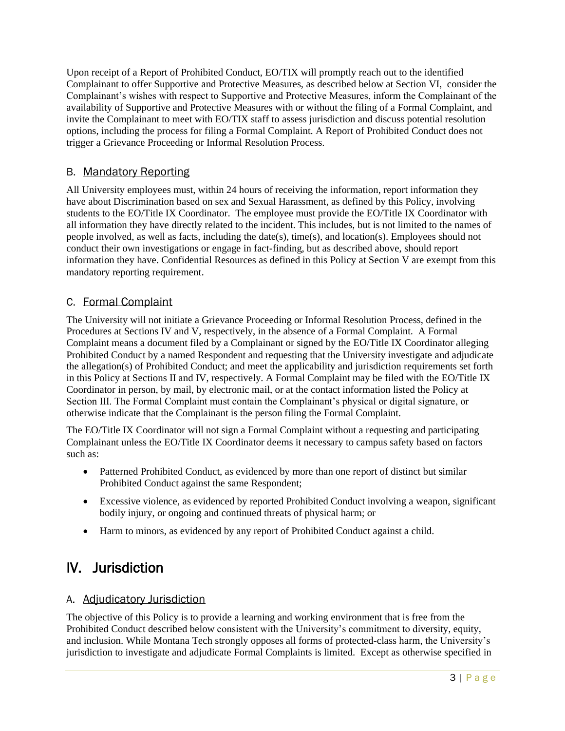Upon receipt of a Report of Prohibited Conduct, EO/TIX will promptly reach out to the identified Complainant to offer Supportive and Protective Measures, as described below at Section VI, consider the Complainant's wishes with respect to Supportive and Protective Measures, inform the Complainant of the availability of Supportive and Protective Measures with or without the filing of a Formal Complaint, and invite the Complainant to meet with EO/TIX staff to assess jurisdiction and discuss potential resolution options, including the process for filing a Formal Complaint. A Report of Prohibited Conduct does not trigger a Grievance Proceeding or Informal Resolution Process.

### B. Mandatory Reporting

All University employees must, within 24 hours of receiving the information, report information they have about Discrimination based on sex and Sexual Harassment, as defined by this Policy, involving students to the EO/Title IX Coordinator. The employee must provide the EO/Title IX Coordinator with all information they have directly related to the incident. This includes, but is not limited to the names of people involved, as well as facts, including the date(s), time(s), and location(s). Employees should not conduct their own investigations or engage in fact-finding, but as described above, should report information they have. Confidential Resources as defined in this Policy at Section V are exempt from this mandatory reporting requirement.

### C. Formal Complaint

The University will not initiate a Grievance Proceeding or Informal Resolution Process, defined in the Procedures at Sections IV and V, respectively, in the absence of a Formal Complaint. A Formal Complaint means a document filed by a Complainant or signed by the EO/Title IX Coordinator alleging Prohibited Conduct by a named Respondent and requesting that the University investigate and adjudicate the allegation(s) of Prohibited Conduct; and meet the applicability and jurisdiction requirements set forth in this Policy at Sections II and IV, respectively. A Formal Complaint may be filed with the EO/Title IX Coordinator in person, by mail, by electronic mail, or at the contact information listed the Policy at Section III. The Formal Complaint must contain the Complainant's physical or digital signature, or otherwise indicate that the Complainant is the person filing the Formal Complaint.

The EO/Title IX Coordinator will not sign a Formal Complaint without a requesting and participating Complainant unless the EO/Title IX Coordinator deems it necessary to campus safety based on factors such as:

- Patterned Prohibited Conduct, as evidenced by more than one report of distinct but similar Prohibited Conduct against the same Respondent;
- Excessive violence, as evidenced by reported Prohibited Conduct involving a weapon, significant bodily injury, or ongoing and continued threats of physical harm; or
- Harm to minors, as evidenced by any report of Prohibited Conduct against a child.

# IV. Jurisdiction

#### A. Adjudicatory Jurisdiction

The objective of this Policy is to provide a learning and working environment that is free from the Prohibited Conduct described below consistent with the University's commitment to diversity, equity, and inclusion. While Montana Tech strongly opposes all forms of protected-class harm, the University's jurisdiction to investigate and adjudicate Formal Complaints is limited. Except as otherwise specified in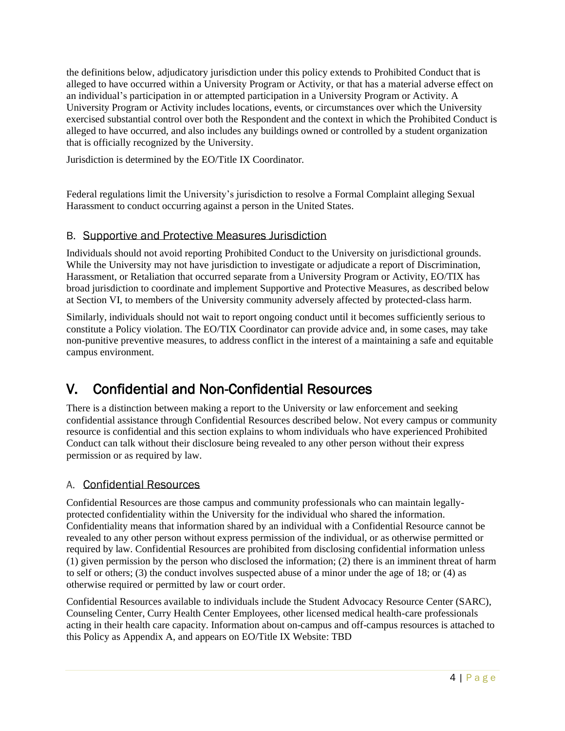the definitions below, adjudicatory jurisdiction under this policy extends to Prohibited Conduct that is alleged to have occurred within a University Program or Activity, or that has a material adverse effect on an individual's participation in or attempted participation in a University Program or Activity. A University Program or Activity includes locations, events, or circumstances over which the University exercised substantial control over both the Respondent and the context in which the Prohibited Conduct is alleged to have occurred, and also includes any buildings owned or controlled by a student organization that is officially recognized by the University.

Jurisdiction is determined by the EO/Title IX Coordinator.

Federal regulations limit the University's jurisdiction to resolve a Formal Complaint alleging Sexual Harassment to conduct occurring against a person in the United States.

#### B. Supportive and Protective Measures Jurisdiction

Individuals should not avoid reporting Prohibited Conduct to the University on jurisdictional grounds. While the University may not have jurisdiction to investigate or adjudicate a report of Discrimination, Harassment, or Retaliation that occurred separate from a University Program or Activity, EO/TIX has broad jurisdiction to coordinate and implement Supportive and Protective Measures, as described below at Section VI, to members of the University community adversely affected by protected-class harm.

Similarly, individuals should not wait to report ongoing conduct until it becomes sufficiently serious to constitute a Policy violation. The EO/TIX Coordinator can provide advice and, in some cases, may take non-punitive preventive measures, to address conflict in the interest of a maintaining a safe and equitable campus environment.

# V. Confidential and Non-Confidential Resources

There is a distinction between making a report to the University or law enforcement and seeking confidential assistance through Confidential Resources described below. Not every campus or community resource is confidential and this section explains to whom individuals who have experienced Prohibited Conduct can talk without their disclosure being revealed to any other person without their express permission or as required by law.

#### A. Confidential Resources

Confidential Resources are those campus and community professionals who can maintain legallyprotected confidentiality within the University for the individual who shared the information. Confidentiality means that information shared by an individual with a Confidential Resource cannot be revealed to any other person without express permission of the individual, or as otherwise permitted or required by law. Confidential Resources are prohibited from disclosing confidential information unless (1) given permission by the person who disclosed the information; (2) there is an imminent threat of harm to self or others; (3) the conduct involves suspected abuse of a minor under the age of 18; or (4) as otherwise required or permitted by law or court order.

Confidential Resources available to individuals include the Student Advocacy Resource Center (SARC), Counseling Center, Curry Health Center Employees, other licensed medical health-care professionals acting in their health care capacity. Information about on-campus and off-campus resources is attached to this Policy as Appendix A, and appears on EO/Title IX Website: TBD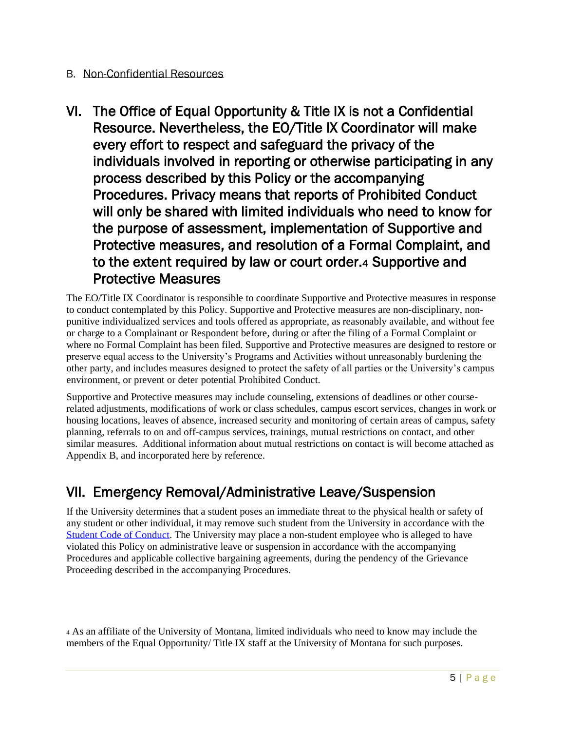### B. Non-Confidential Resources

VI. The Office of Equal Opportunity & Title IX is not a Confidential Resource. Nevertheless, the EO/Title IX Coordinator will make every effort to respect and safeguard the privacy of the individuals involved in reporting or otherwise participating in any process described by this Policy or the accompanying Procedures. Privacy means that reports of Prohibited Conduct will only be shared with limited individuals who need to know for the purpose of assessment, implementation of Supportive and Protective measures, and resolution of a Formal Complaint, and to the extent required by law or court order.4 Supportive and Protective Measures

The EO/Title IX Coordinator is responsible to coordinate Supportive and Protective measures in response to conduct contemplated by this Policy. Supportive and Protective measures are non-disciplinary, nonpunitive individualized services and tools offered as appropriate, as reasonably available, and without fee or charge to a Complainant or Respondent before, during or after the filing of a Formal Complaint or where no Formal Complaint has been filed. Supportive and Protective measures are designed to restore or preserve equal access to the University's Programs and Activities without unreasonably burdening the other party, and includes measures designed to protect the safety of all parties or the University's campus environment, or prevent or deter potential Prohibited Conduct.

Supportive and Protective measures may include counseling, extensions of deadlines or other courserelated adjustments, modifications of work or class schedules, campus escort services, changes in work or housing locations, leaves of absence, increased security and monitoring of certain areas of campus, safety planning, referrals to on and off-campus services, trainings, mutual restrictions on contact, and other similar measures. Additional information about mutual restrictions on contact is will become attached as Appendix B, and incorporated here by reference.

# VII. Emergency Removal/Administrative Leave/Suspension

If the University determines that a student poses an immediate threat to the physical health or safety of any student or other individual, it may remove such student from the University in accordance with the [Student Code of Conduct.](https://www.umt.edu/student-affairs/community-standards/student-code-of-conduct-2020-pdf) The University may place a non-student employee who is alleged to have violated this Policy on administrative leave or suspension in accordance with the accompanying Procedures and applicable collective bargaining agreements, during the pendency of the Grievance Proceeding described in the accompanying Procedures.

<sup>4</sup> As an affiliate of the University of Montana, limited individuals who need to know may include the members of the Equal Opportunity/ Title IX staff at the University of Montana for such purposes.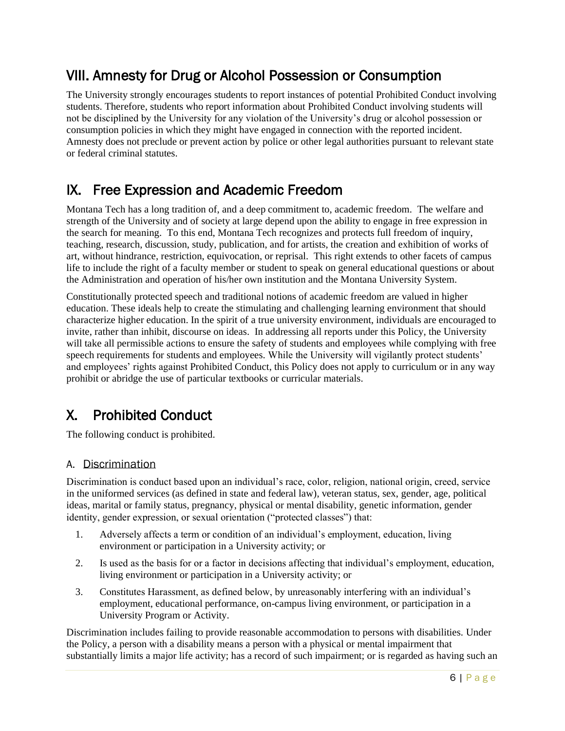# VIII. Amnesty for Drug or Alcohol Possession or Consumption

The University strongly encourages students to report instances of potential Prohibited Conduct involving students. Therefore, students who report information about Prohibited Conduct involving students will not be disciplined by the University for any violation of the University's drug or alcohol possession or consumption policies in which they might have engaged in connection with the reported incident. Amnesty does not preclude or prevent action by police or other legal authorities pursuant to relevant state or federal criminal statutes.

# IX. Free Expression and Academic Freedom

Montana Tech has a long tradition of, and a deep commitment to, academic freedom. The welfare and strength of the University and of society at large depend upon the ability to engage in free expression in the search for meaning. To this end, Montana Tech recognizes and protects full freedom of inquiry, teaching, research, discussion, study, publication, and for artists, the creation and exhibition of works of art, without hindrance, restriction, equivocation, or reprisal. This right extends to other facets of campus life to include the right of a faculty member or student to speak on general educational questions or about the Administration and operation of his/her own institution and the Montana University System.

Constitutionally protected speech and traditional notions of academic freedom are valued in higher education. These ideals help to create the stimulating and challenging learning environment that should characterize higher education. In the spirit of a true university environment, individuals are encouraged to invite, rather than inhibit, discourse on ideas. In addressing all reports under this Policy, the University will take all permissible actions to ensure the safety of students and employees while complying with free speech requirements for students and employees. While the University will vigilantly protect students' and employees' rights against Prohibited Conduct, this Policy does not apply to curriculum or in any way prohibit or abridge the use of particular textbooks or curricular materials.

# X. Prohibited Conduct

The following conduct is prohibited.

#### A. Discrimination

Discrimination is conduct based upon an individual's race, color, religion, national origin, creed, service in the uniformed services (as defined in state and federal law), veteran status, sex, gender, age, political ideas, marital or family status, pregnancy, physical or mental disability, genetic information, gender identity, gender expression, or sexual orientation ("protected classes") that:

- 1. Adversely affects a term or condition of an individual's employment, education, living environment or participation in a University activity; or
- 2. Is used as the basis for or a factor in decisions affecting that individual's employment, education, living environment or participation in a University activity; or
- 3. Constitutes Harassment, as defined below, by unreasonably interfering with an individual's employment, educational performance, on-campus living environment, or participation in a University Program or Activity.

Discrimination includes failing to provide reasonable accommodation to persons with disabilities. Under the Policy, a person with a disability means a person with a physical or mental impairment that substantially limits a major life activity; has a record of such impairment; or is regarded as having such an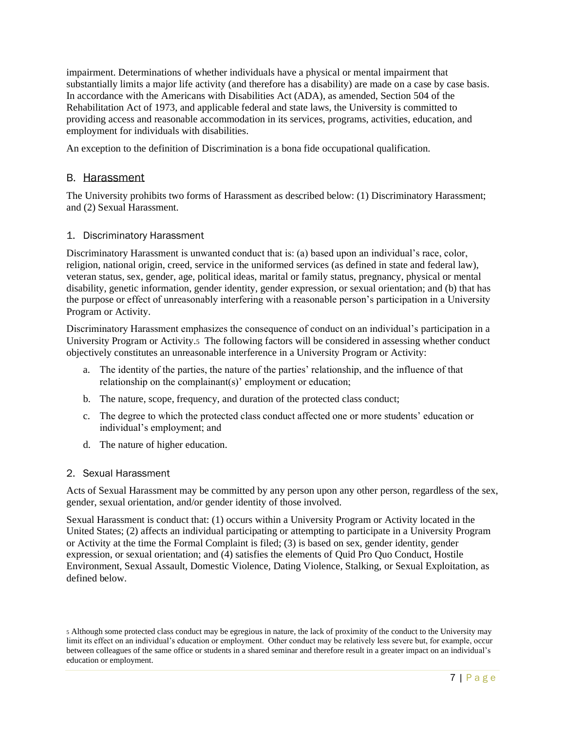impairment. Determinations of whether individuals have a physical or mental impairment that substantially limits a major life activity (and therefore has a disability) are made on a case by case basis. In accordance with the Americans with Disabilities Act (ADA), as amended, Section 504 of the Rehabilitation Act of 1973, and applicable federal and state laws, the University is committed to providing access and reasonable accommodation in its services, programs, activities, education, and employment for individuals with disabilities.

An exception to the definition of Discrimination is a bona fide occupational qualification.

#### B. Harassment

The University prohibits two forms of Harassment as described below: (1) Discriminatory Harassment; and (2) Sexual Harassment.

#### 1. Discriminatory Harassment

Discriminatory Harassment is unwanted conduct that is: (a) based upon an individual's race, color, religion, national origin, creed, service in the uniformed services (as defined in state and federal law), veteran status, sex, gender, age, political ideas, marital or family status, pregnancy, physical or mental disability, genetic information, gender identity, gender expression, or sexual orientation; and (b) that has the purpose or effect of unreasonably interfering with a reasonable person's participation in a University Program or Activity.

Discriminatory Harassment emphasizes the consequence of conduct on an individual's participation in a University Program or Activity.5 The following factors will be considered in assessing whether conduct objectively constitutes an unreasonable interference in a University Program or Activity:

- a. The identity of the parties, the nature of the parties' relationship, and the influence of that relationship on the complainant(s)' employment or education;
- b. The nature, scope, frequency, and duration of the protected class conduct;
- c. The degree to which the protected class conduct affected one or more students' education or individual's employment; and
- d. The nature of higher education.

#### 2. Sexual Harassment

Acts of Sexual Harassment may be committed by any person upon any other person, regardless of the sex, gender, sexual orientation, and/or gender identity of those involved.

Sexual Harassment is conduct that: (1) occurs within a University Program or Activity located in the United States; (2) affects an individual participating or attempting to participate in a University Program or Activity at the time the Formal Complaint is filed; (3) is based on sex, gender identity, gender expression, or sexual orientation; and (4) satisfies the elements of Quid Pro Quo Conduct, Hostile Environment, Sexual Assault, Domestic Violence, Dating Violence, Stalking, or Sexual Exploitation, as defined below.

<sup>5</sup> Although some protected class conduct may be egregious in nature, the lack of proximity of the conduct to the University may limit its effect on an individual's education or employment. Other conduct may be relatively less severe but, for example, occur between colleagues of the same office or students in a shared seminar and therefore result in a greater impact on an individual's education or employment.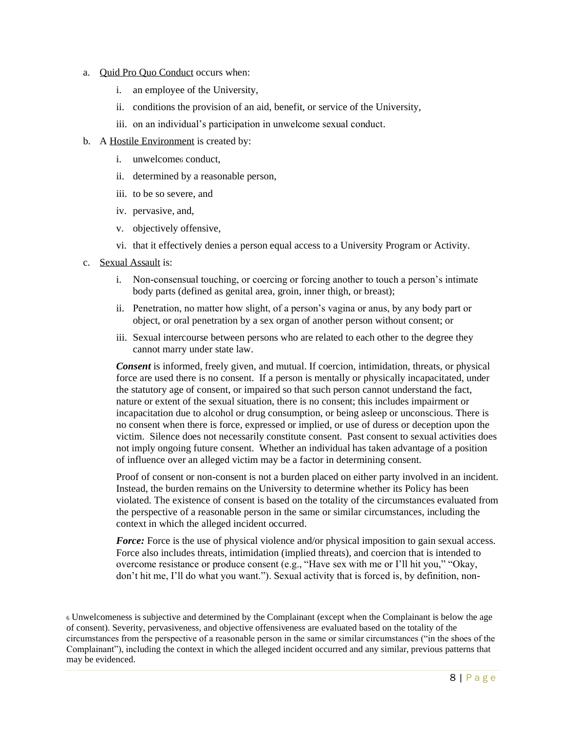#### a. Quid Pro Quo Conduct occurs when:

- i. an employee of the University,
- ii. conditions the provision of an aid, benefit, or service of the University,
- iii. on an individual's participation in unwelcome sexual conduct.

#### b. A Hostile Environment is created by:

- i. unwelcomes conduct,
- ii. determined by a reasonable person,
- iii. to be so severe, and
- iv. pervasive, and,
- v. objectively offensive,
- vi. that it effectively denies a person equal access to a University Program or Activity.
- c. Sexual Assault is:
	- i. Non-consensual touching, or coercing or forcing another to touch a person's intimate body parts (defined as genital area, groin, inner thigh, or breast);
	- ii. Penetration, no matter how slight, of a person's vagina or anus, by any body part or object, or oral penetration by a sex organ of another person without consent; or
	- iii. Sexual intercourse between persons who are related to each other to the degree they cannot marry under state law.

*Consent* is informed, freely given, and mutual. If coercion, intimidation, threats, or physical force are used there is no consent. If a person is mentally or physically incapacitated, under the statutory age of consent, or impaired so that such person cannot understand the fact, nature or extent of the sexual situation, there is no consent; this includes impairment or incapacitation due to alcohol or drug consumption, or being asleep or unconscious. There is no consent when there is force, expressed or implied, or use of duress or deception upon the victim. Silence does not necessarily constitute consent. Past consent to sexual activities does not imply ongoing future consent. Whether an individual has taken advantage of a position of influence over an alleged victim may be a factor in determining consent.

Proof of consent or non-consent is not a burden placed on either party involved in an incident. Instead, the burden remains on the University to determine whether its Policy has been violated. The existence of consent is based on the totality of the circumstances evaluated from the perspective of a reasonable person in the same or similar circumstances, including the context in which the alleged incident occurred.

*Force:* Force is the use of physical violence and/or physical imposition to gain sexual access. Force also includes threats, intimidation (implied threats), and coercion that is intended to overcome resistance or produce consent (e.g., "Have sex with me or I'll hit you," "Okay, don't hit me, I'll do what you want."). Sexual activity that is forced is, by definition, non-

<sup>6</sup> Unwelcomeness is subjective and determined by the Complainant (except when the Complainant is below the age of consent). Severity, pervasiveness, and objective offensiveness are evaluated based on the totality of the circumstances from the perspective of a reasonable person in the same or similar circumstances ("in the shoes of the Complainant"), including the context in which the alleged incident occurred and any similar, previous patterns that may be evidenced.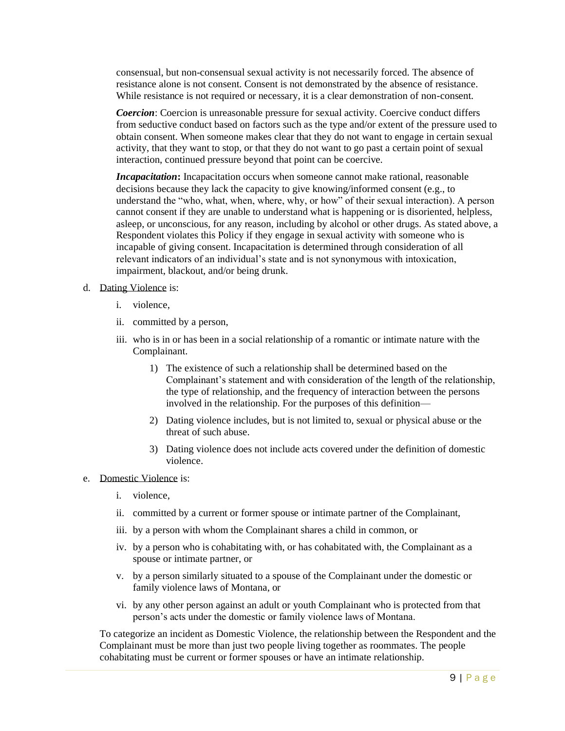consensual, but non-consensual sexual activity is not necessarily forced. The absence of resistance alone is not consent. Consent is not demonstrated by the absence of resistance. While resistance is not required or necessary, it is a clear demonstration of non-consent.

*Coercion*: Coercion is unreasonable pressure for sexual activity. Coercive conduct differs from seductive conduct based on factors such as the type and/or extent of the pressure used to obtain consent. When someone makes clear that they do not want to engage in certain sexual activity, that they want to stop, or that they do not want to go past a certain point of sexual interaction, continued pressure beyond that point can be coercive.

*Incapacitation***:** Incapacitation occurs when someone cannot make rational, reasonable decisions because they lack the capacity to give knowing/informed consent (e.g., to understand the "who, what, when, where, why, or how" of their sexual interaction). A person cannot consent if they are unable to understand what is happening or is disoriented, helpless, asleep, or unconscious, for any reason, including by alcohol or other drugs. As stated above, a Respondent violates this Policy if they engage in sexual activity with someone who is incapable of giving consent. Incapacitation is determined through consideration of all relevant indicators of an individual's state and is not synonymous with intoxication, impairment, blackout, and/or being drunk.

- d. Dating Violence is:
	- i. violence,
	- ii. committed by a person,
	- iii. who is in or has been in a social relationship of a romantic or intimate nature with the Complainant.
		- 1) The existence of such a relationship shall be determined based on the Complainant's statement and with consideration of the length of the relationship, the type of relationship, and the frequency of interaction between the persons involved in the relationship. For the purposes of this definition—
		- 2) Dating violence includes, but is not limited to, sexual or physical abuse or the threat of such abuse.
		- 3) Dating violence does not include acts covered under the definition of domestic violence.
- e. Domestic Violence is:
	- i. violence,
	- ii. committed by a current or former spouse or intimate partner of the Complainant,
	- iii. by a person with whom the Complainant shares a child in common, or
	- iv. by a person who is cohabitating with, or has cohabitated with, the Complainant as a spouse or intimate partner, or
	- v. by a person similarly situated to a spouse of the Complainant under the domestic or family violence laws of Montana, or
	- vi. by any other person against an adult or youth Complainant who is protected from that person's acts under the domestic or family violence laws of Montana.

To categorize an incident as Domestic Violence, the relationship between the Respondent and the Complainant must be more than just two people living together as roommates. The people cohabitating must be current or former spouses or have an intimate relationship.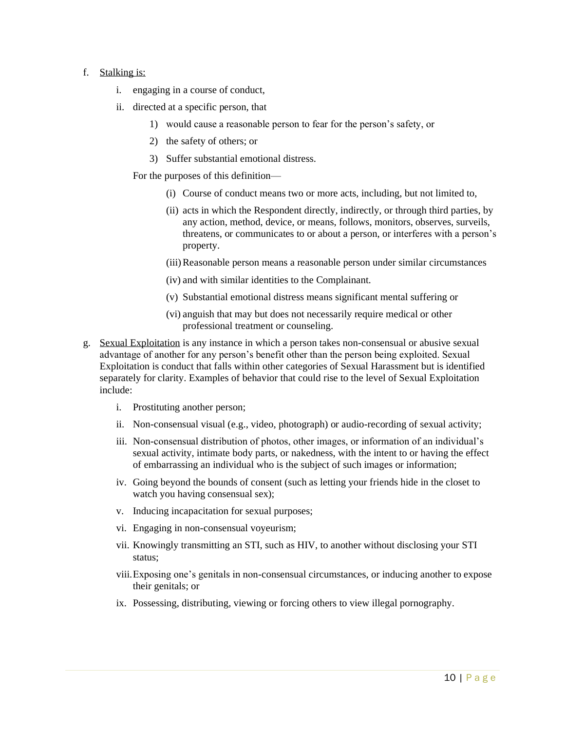#### f. Stalking is:

- i. engaging in a course of conduct,
- ii. directed at a specific person, that
	- 1) would cause a reasonable person to fear for the person's safety, or
	- 2) the safety of others; or
	- 3) Suffer substantial emotional distress.

For the purposes of this definition—

- (i) Course of conduct means two or more acts, including, but not limited to,
- (ii) acts in which the Respondent directly, indirectly, or through third parties, by any action, method, device, or means, follows, monitors, observes, surveils, threatens, or communicates to or about a person, or interferes with a person's property.
- (iii)Reasonable person means a reasonable person under similar circumstances
- (iv) and with similar identities to the Complainant.
- (v) Substantial emotional distress means significant mental suffering or
- (vi) anguish that may but does not necessarily require medical or other professional treatment or counseling.
- g. Sexual Exploitation is any instance in which a person takes non-consensual or abusive sexual advantage of another for any person's benefit other than the person being exploited. Sexual Exploitation is conduct that falls within other categories of Sexual Harassment but is identified separately for clarity. Examples of behavior that could rise to the level of Sexual Exploitation include:
	- i. Prostituting another person;
	- ii. Non-consensual visual (e.g., video, photograph) or audio-recording of sexual activity;
	- iii. Non-consensual distribution of photos, other images, or information of an individual's sexual activity, intimate body parts, or nakedness, with the intent to or having the effect of embarrassing an individual who is the subject of such images or information;
	- iv. Going beyond the bounds of consent (such as letting your friends hide in the closet to watch you having consensual sex);
	- v. Inducing incapacitation for sexual purposes;
	- vi. Engaging in non-consensual voyeurism;
	- vii. Knowingly transmitting an STI, such as HIV, to another without disclosing your STI status;
	- viii.Exposing one's genitals in non-consensual circumstances, or inducing another to expose their genitals; or
	- ix. Possessing, distributing, viewing or forcing others to view illegal pornography.